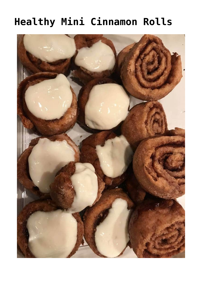# **[Healthy Mini Cinnamon Rolls](https://alethiatruefit.com/recipes/breakfast/healthy-mini-cinnamon-rolls/)**

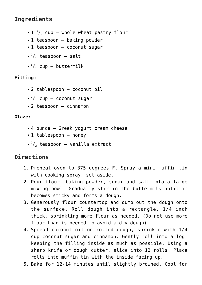## **Ingredients**

- $1^{-1}/_2$  cup whole wheat pastry flour
- 1 teaspoon baking powder
- 1 teaspoon coconut sugar
- $^{1}/_{4}$  teaspoon salt
- $\frac{3}{4}$  cup buttermilk

#### **Filling:**

- 2 tablespoon coconut oil
- $\frac{1}{4}$  cup coconut sugar
- 2 teaspoon cinnamon

#### **Glaze:**

- 4 ounce Greek yogurt cream cheese
- 1 tablespoon honey
- $\frac{1}{2}$  teaspoon vanilla extract

### **Directions**

- 1. Preheat oven to 375 degrees F. Spray a mini muffin tin with cooking spray; set aside.
- 2. Pour flour, baking powder, sugar and salt into a large mixing bowl. Gradually stir in the buttermilk until it becomes sticky and forms a dough.
- 3. Generously flour countertop and dump out the dough onto the surface. Roll dough into a rectangle, 1/4 inch thick, sprinkling more flour as needed. (Do not use more flour than is needed to avoid a dry dough).
- 4. Spread coconut oil on rolled dough, sprinkle with 1/4 cup coconut sugar and cinnamon. Gently roll into a log, keeping the filling inside as much as possible. Using a sharp knife or dough cutter, slice into 12 rolls. Place rolls into muffin tin with the inside facing up.
- 5. Bake for 12-14 minutes until slightly browned. Cool for